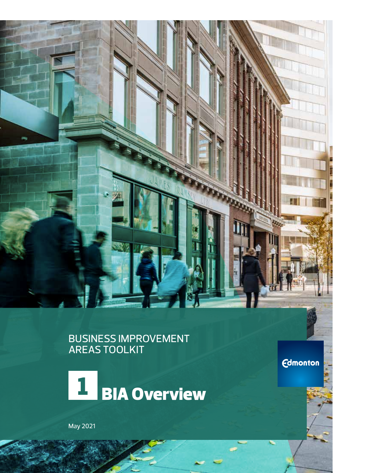### BUSINESS IMPROVEMENT AREAS TOOLKIT



May 2021

**Edmonton** 

**THE CERTIFICATION** 

Uu.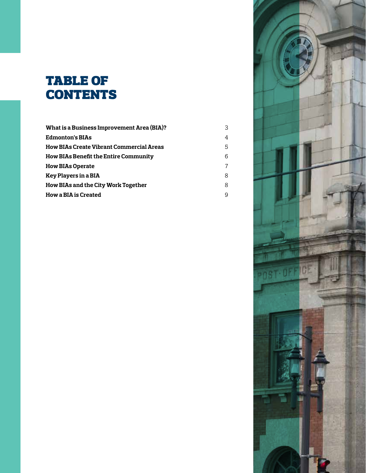# table of **CONTENTS**

| <b>What is a Business Improvement Area (BIA)?</b> | 3 |
|---------------------------------------------------|---|
| Edmonton's BIAs                                   | 4 |
| How BIAs Create Vibrant Commercial Areas          | 5 |
| <b>How BIAs Benefit the Entire Community</b>      | 6 |
| How BIAs Operate                                  | 7 |
| Key Players in a BIA                              | 8 |
| How BIAs and the City Work Together               | 8 |
| How a BIA is Created                              | 9 |

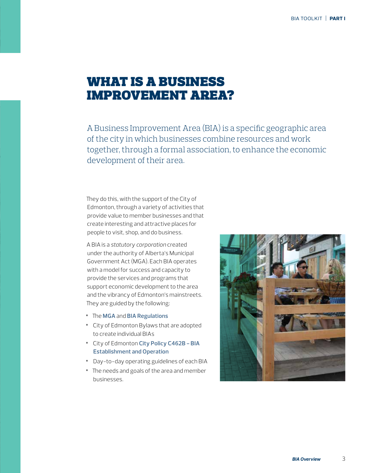### what is a business improvement area?

A Business Improvement Area (BIA) is a specific geographic area of the city in which businesses combine resources and work together, through a formal association, to enhance the economic development of their area.

They do this, with the support of the City of Edmonton, through a variety of activities that provide value to member businesses and that create interesting and attractive places for people to visit, shop, and do business.

A BIA is a *statutory corporation* created under the authority of Alberta's Municipal Government Act (MGA). Each BIA operates with a model for success and capacity to provide the services and programs that support economic development to the area and the vibrancy of Edmonton's mainstreets. They are guided by the following:

- **•** The **[MGA](http://www.qp.alberta.ca/documents/Acts/m26.pdf)** and **BIA [Regulations](http://www.qp.alberta.ca/documents/Regs/2016_093.pdf)**
- **•** City of Edmonton Bylaws that are adopted to create individual BIAs
- **•** City of Edmonton **[City Policy C462B BIA](https://www.edmonton.ca/city_government/documents/PoliciesDirectives/C462B.pdf)  [Establishment and Operation](https://www.edmonton.ca/city_government/documents/PoliciesDirectives/C462B.pdf)**
- **•** Day-to-day operating guidelines of each BIA
- **•** The needs and goals of the area and member businesses.

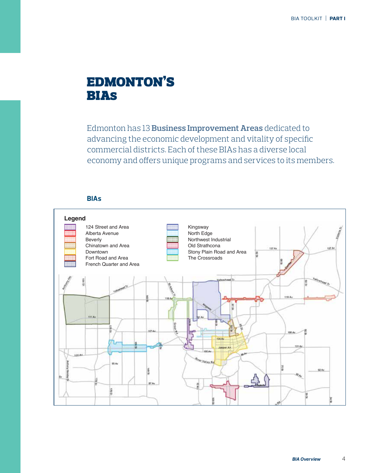## edmonton's bias

Edmonton has 13 **[Business Improvement Areas](www.edmonton.ca/business_economy/business_resources/business-improvement-areas.aspx)** dedicated to advancing the economic development and vitality of specific commercial districts. Each of these BIAs has a diverse local economy and offers unique programs and services to its members.

### **BIAs**

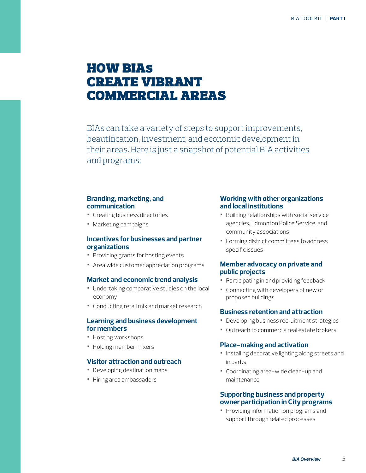## **HOW BIAS** create vibrant commercial areas

BIAs can take a variety of steps to support improvements, beautification, investment, and economic development in their areas. Here is just a snapshot of potential BIA activities and programs:

#### **Branding, marketing, and communication**

- **•** Creating business directories
- **•** Marketing campaigns

#### **Incentives for businesses and partner organizations**

- **•** Providing grants for hosting events
- **•** Area wide customer appreciation programs

#### **Market and economic trend analysis**

- **•** Undertaking comparative studies on the local economy
- **•** Conducting retail mix and market research

#### **Learning and business development for members**

- **•** Hosting workshops
- **•** Holding member mixers

#### **Visitor attraction and outreach**

- **•** Developing destination maps
- **•** Hiring area ambassadors

#### **Working with other organizations and local institutions**

- **•** Building relationships with social service agencies, Edmonton Police Service, and community associations
- **•** Forming district committees to address specific issues

#### **Member advocacy on private and public projects**

- **•** Participating in and providing feedback
- **•** Connecting with developers of new or proposed buildings

#### **Business retention and attraction**

- **•** Developing business recruitment strategies
- **•** Outreach to commercia real estate brokers

#### **Place-making and activation**

- **•** Installing decorative lighting along streets and in parks
- **•** Coordinating area-wide clean-up and maintenance

#### **Supporting business and property owner participation in City programs**

**•** Providing information on programs and support through related processes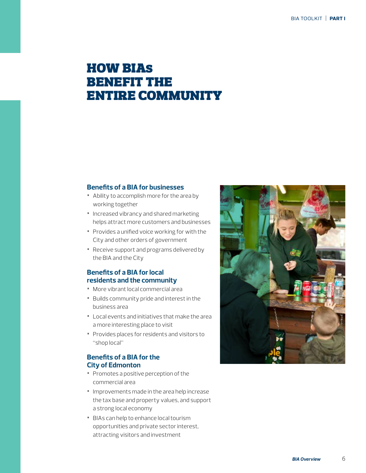### **HOW BIAS** benefit the entire community

#### **Benefits of a BIA for businesses**

- **•** Ability to accomplish more for the area by working together
- **•** Increased vibrancy and shared marketing helps attract more customers and businesses
- **•** Provides a unified voice working for with the City and other orders of government
- **•** Receive support and programs delivered by the BIA and the City

### **Benefits of a BIA for local residents and the community**

- **•** More vibrant local commercial area
- **•** Builds community pride and interest in the business area
- **•** Local events and initiatives that make the area a more interesting place to visit
- **•** Provides places for residents and visitors to "shop local"

### **Benefits of a BIA for the City of Edmonton**

- **•** Promotes a positive perception of the commercial area
- **•** Improvements made in the area help increase the tax base and property values, and support a strong local economy
- **•** BIAs can help to enhance local tourism opportunities and private sector interest, attracting visitors and investment

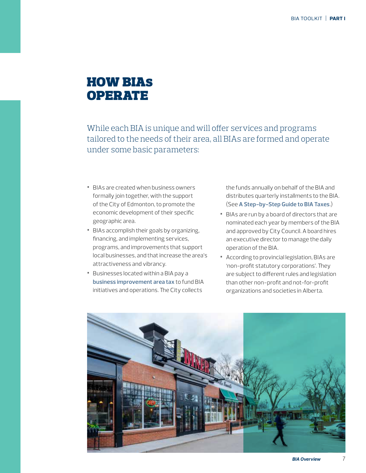### **HOW BIAS OPERATE**

While each BIA is unique and will offer services and programs tailored to the needs of their area, all BIAs are formed and operate under some basic parameters:

- **•** BIAs are created when business owners formally join together, with the support of the City of Edmonton, to promote the economic development of their specific geographic area.
- **•** BIAs accomplish their goals by organizing, financing, and implementing services, programs, and improvements that support local businesses, and that increase the area's attractiveness and vibrancy.
- **•** Businesses located within a BIA pay a **[business improvement area tax](https://www.edmonton.ca/business_economy/assessment_tax/business-improvement-area-taxes.aspx)** to fund BIA initiatives and operations. The City collects

the funds annually on behalf of the BIA and distributes quarterly installments to the BIA. (See **[A Step-by-Step Guide to BIA Taxes](https://drive.google.com/file/d/0B3IO3438I2cXNndabVE3SFB5OTA/view)**.)

- **•** BIAs are run by a board of directors that are nominated each year by members of the BIA and approved by City Council. A board hires an executive director to manage the daily operation of the BIA.
- **•** According to provincial legislation, BIAs are 'non-profit statutory corporations'. They are subject to different rules and legislation than other non-profit and not-for-profit organizations and societies in Alberta.

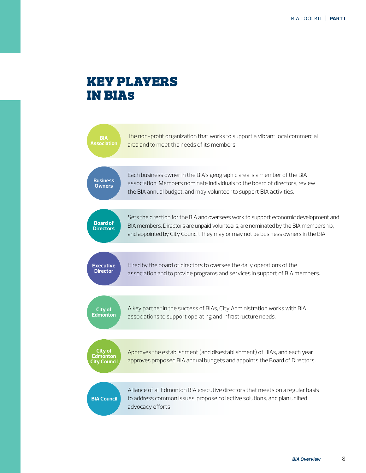### key players in bias



*BIA Overview* 8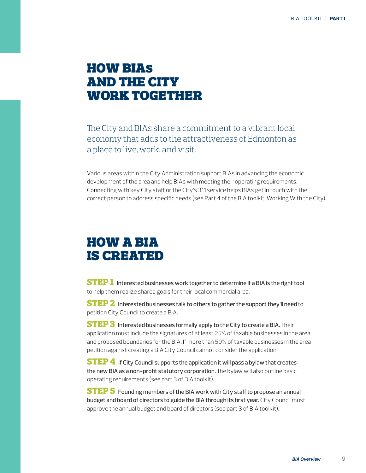### **HOW BIAS** and the city work together

The City and BIAs share a commitment to a vibrant local economy that adds to the attractiveness of Edmonton as a place to live, work, and visit.

Various areas within the City Administration support BIAs in advancing the economic development of the area and help BIAs with meeting their operating requirements. Connecting with key City staff or the City's 311 service helps BIAs get in touch with the correct person to address specific needs (see Part 4 of the BIA toolkit: Working With the City).

## how a bia is created

**STEP 1** Interested businesses work together to determine if a BIA is the right tool to help them realize shared goals for their local commercial area.

**STEP 2** Interested businesses talk to others to gather the support they'll need to petition City Council to create a BIA.

**STEP 3** Interested businesses formally apply to the City to create a BIA. Their application must include the signatures of at least 25% of taxable businesses in the area and proposed boundaries for the BIA. If more than 50% of taxable businesses in the area petition against creating a BIA City Council cannot consider the application.

**STEP 4** If City Council supports the application it will pass a bylaw that creates the new BIA as a non-profit statutory corporation. The bylaw will also outline basic operating requirements (see part 3 of BIA toolkit).

**STEP 5** Founding members of the BIA work with City staff to propose an annual budget and board of directors to guide the BIA through its first year. City Council must approve the annual budget and board of directors (see part 3 of BIA toolkit).